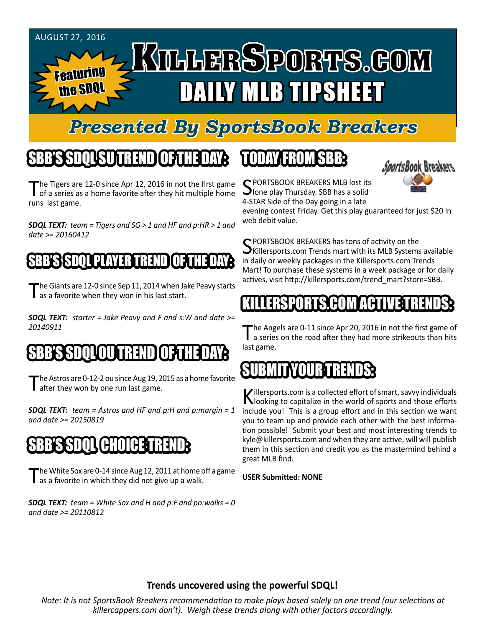

#### *Presented By SportsBook Breakers*

## SBB'S SDQL SU TREND OF THE DAY:

The Tigers are 12-0 since Apr 12, 2016 in not the first game<br>of a series as a home favorite after they hit multiple home runs last game.

*SDQL TEXT: team = Tigers and SG > 1 and HF and p:HR > 1 and date >= 20160412*

#### I PLAYER T

The Giants are 12-0 since Sep 11, 2014 when Jake Peavy starts<br>
as a favorite when they won in his last start.

*SDQL TEXT: starter = Jake Peavy and F and s:W and date >= 20140911*

#### SBB'S SDQLOU TREND OF THE DAY:

The Astros are 0-12-2 ou since Aug 19, 2015 as a home favorite after they won by one run last game.

*SDQL TEXT: team = Astros and HF and p:H and p:margin = 1 and date >= 20150819*

### SBB'S SDQL CHOICE TREND

The White Sox are 0-14 since Aug 12, 2011 at home off a game<br>as a favorite in which they did not give up a walk.

*SDQL TEXT: team = White Sox and H and p:F and po:walks = 0 and date >= 20110812*

### TODAY HAOMSBB



C PORTSBOOK BREAKERS MLB lost its **J**lone play Thursday. SBB has a solid 4-STAR Side of the Day going in a late

evening contest Friday. Get this play guaranteed for just \$20 in web debit value.

SPORTSBOOK BREAKERS has tons of activity on the<br>Killersports.com Trends mart with its MLB Systems available in daily or weekly packages in the Killersports.com Trends Mart! To purchase these systems in a week package or for daily actives, visit http://killersports.com/trend\_mart?store=SBB.

#### KILLERSPORTS.COM ACTIVE TRENDS:

The Angels are 0-11 since Apr 20, 2016 in not the first game of<br>a series on the road after they had more strikeouts than hits last game.

#### SUBMIT YOUR TREE

Killersports.com is a collected effort of smart, savvy individuals<br>Nooking to capitalize in the world of sports and those efforts include you! This is a group effort and in this section we want you to team up and provide each other with the best information possible! Submit your best and most interesting trends to kyle@killersports.com and when they are active, will will publish them in this section and credit you as the mastermind behind a great MLB find.

#### **USER Submitted: NONE**

#### **Trends uncovered using the powerful SDQL!**

*Note: It is not SportsBook Breakers recommendation to make plays based solely on one trend (our selections at killercappers.com don't). Weigh these trends along with other factors accordingly.*